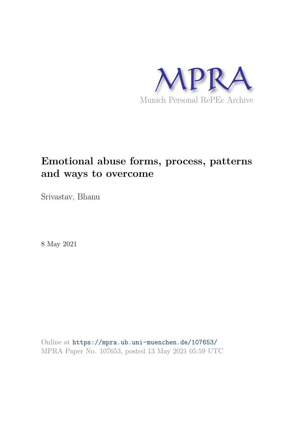

# **Emotional abuse forms, process, patterns and ways to overcome**

Srivastav, Bhanu

8 May 2021

Online at https://mpra.ub.uni-muenchen.de/107653/ MPRA Paper No. 107653, posted 13 May 2021 05:59 UTC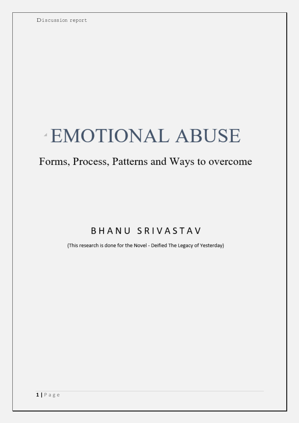# **EMOTIONAL ABUSE**

# Forms, Process, Patterns and Ways to overcome

# **BHANU SRIVASTAV**

(This research is done for the Novel - Deified The Legacy of Yesterday)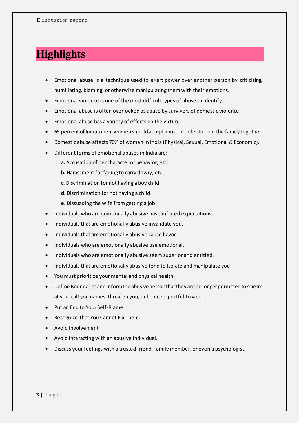# **Highlights**

- Emotional abuse is a technique used to exert power over another person by criticizing, humiliating, blaming, or otherwise manipulating them with their emotions.
- Emotional violence is one of the most difficult types of abuse to identify.
- Emotional abuse is often overlooked as abuse by survivors of domestic violence.
- Emotional abuse has a variety of effects on the victim.
- 65 percent of Indian men, women should accept abuse in order to hold the family together.
- Domestic abuse affects 70% of women in India (Physical, Sexual, Emotional & Economic).
- Different forms of emotional abuses in India are:
	- **a.** Accusation of her character or behavior, etc.
	- **b.** Harassment for failing to carry dowry, etc.
	- **c.** Discrimination for not having a boy child
	- **d.** Discrimination for not having a child
	- **e.** Dissuading the wife from getting a job
- Individuals who are emotionally abusive have inflated expectations.
- Individuals that are emotionally abusive invalidate you.
- Individuals that are emotionally abusive cause havoc.
- Individuals who are emotionally abusive use emotional.
- Individuals who are emotionally abusive seem superior and entitled.
- Individuals that are emotionally abusive tend to isolate and manipulate you
- You must prioritize your mental and physical health.
- Define Boundaries and inform the abusive person that they are no longer permitted to scream at you, call you names, threaten you, or be disrespectful to you.
- Put an End to Your Self-Blame.
- Recognize That You Cannot Fix Them.
- Avoid Involvement
- Avoid interacting with an abusive individual.
- Discuss your feelings with a trusted friend, family member, or even a psychologist.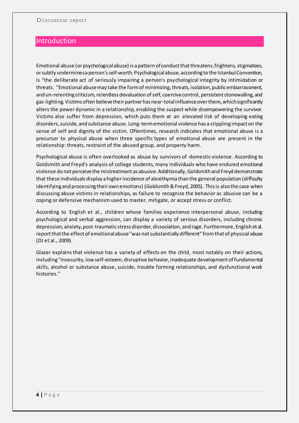# Introduction

Emotional abuse (or psychological abuse) is a pattern of conduct that threatens, frightens, stigmatizes, or subtly undermines a person's self-worth. Psychological abuse, according to the Istanbul Convention, is "the deliberate act of seriously impairing a person's psychological integrity by intimidation or threats. "Emotional abuse may take the form of minimizing, threats, isolation, public embarrassment, and un-relenting criticism, relentless devaluation of self, coercive control, persistent stonewalling, and gas-lighting. Victims often believe their partner has near-total influence over them, which significantly alters the power dynamic in a relationship, enabling the suspect while disempowering the survivor. Victims also suffer from depression, which puts them at an elevated risk of developing eating disorders, suicide, and substance abuse. Long-term emotional violence has a crippling impact on the sense of self and dignity of the victim. Oftentimes, [research indicates that](https://www.empiripedia.com/) emotional abuse is a precursor to physical abuse when three specific types of emotional abuse are present in the relationship: threats, restraint of the abused group, and property harm.

Psychological abuse is often overlooked as abuse by survivors of domestic violence. According to Goldsmith and Freyd's analysis of college students, many individuals who have endured emotional violence do not perceive the mistreatment as abusive. Additionally, Goldsmith and Freyd demonstrate that these individuals display a higher incidence of alexithymia than the general population (difficulty identifying and processing their own emotions) (Goldsmith & Freyd, 2005). This is also the case when discussing abuse victims in relationships, as failure to recognize the behavior as abusive can be a coping or defensive mechanism used to master, mitigate, or accept stress or conflict.

According to English et al., children whose families experience interpersonal abuse, including psychological and verbal aggression, can display a variety of serious disorders, including chronic depression, anxiety, post-traumatic stress disorder, dissociation, and rage. Furthermore, English et al. report that the effect of emotional abuse "was not substantially different" from that of physical abuse (DJ et al., 2009).

Glaser explains that violence has a variety of effects on the child, most notably on their actions, including "insecurity, low self-esteem, disruptive behavior, inadequate development of fundamental skills, alcohol or substance abuse, suicide, trouble forming relationships, and dysfunctional work histories."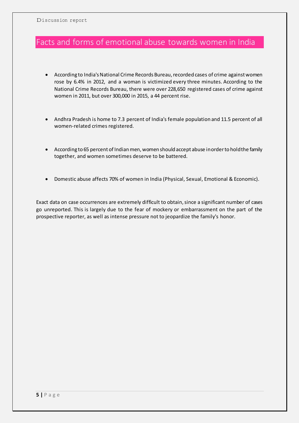# Facts and forms of emotional abuse towards women in India

- According to India's National Crime Records Bureau, recorded cases of crime against women rose by 6.4% in 2012, and a woman is victimized every three minutes. According to the National Crime Records Bureau, there were over 228,650 registered cases of crime against women in 2011, but over 300,000 in 2015, a 44 percent rise.
- Andhra Pradesh is home to 7.3 percent of India's female population and 11.5 percent of all women-related crimes registered.
- According to 65 percent of Indian men, women should accept abuse in order to hold the family together, and women sometimes deserve to be battered.
- Domestic abuse affects 70% of women in India (Physical, Sexual, Emotional & Economic).

Exact data on case occurrences are extremely difficult to obtain, since a significant number of cases go unreported. This is largely due to the fear of mockery or embarrassment on the part of the prospective reporter, as well as intense pressure not to jeopardize the family's honor.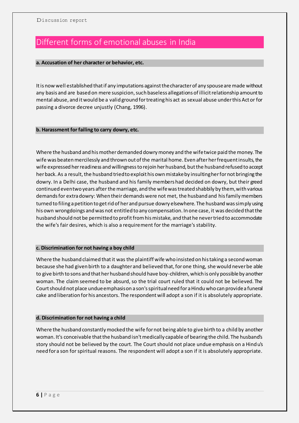# Different forms of emotional abuses in India

# **a. Accusation of her character or behavior, etc.**

It is now well established that if any imputations against the character of any spouse are made without any basis and are based on mere suspicion, such baseless allegations of illicit relationship amount to mental abuse, and it would be a valid ground for treating his act as sexual abuse under this Act or for passing a divorce decree unjustly (Chang, 1996).

# **b. Harassment for failing to carry dowry, etc.**

Where the husband and his mother demanded dowry money and the wife twice paid the money. The wife was beaten mercilessly and thrown out of the marital home. Even after her frequent insults, the wife expressed her readiness and willingness to rejoin her husband, but the husband refused to accept her back. As a result, the husband tried to exploit his own mistake by insulting her for not bringing the dowry. In a Delhi case, the husband and his family members had decided on dowry, but their greed continued even two years after the marriage, and the wife was treated shabbily by them, with various demands for extra dowry: When their demands were not met, the husband and his family members turned to filing a petition to get rid of her and pursue dowry elsewhere. The husband was simply using his own wrongdoings and was not entitled to any compensation. In one case, it was decided that the husband should not be permitted to profit from his mistake, and that he never tried to accommodate the wife's fair desires, which is also a requirement for the marriage's stability.

# **c. Discrimination for not having a boy child**

Where the husband claimed that it was the plaintiff wife who insisted on his taking a second woman because she had given birth to a daughter and believed that, for one thing, she would never be able to give birth to sons and that her husband should have boy-children, which is only possible by another woman. The claim seemed to be absurd, so the trial court ruled that it could not be believed. The Court should not place undue emphasis on a son's spiritual need for a Hindu who can provide a funeral cake and liberation for his ancestors. The respondent will adopt a son if it is absolutely appropriate.

# **d. Discrimination for not having a child**

Where the husband constantly mocked the wife for not being able to give birth to a child by another woman. It's conceivable that the husband isn't medically capable of bearing the child. The husband's story should not be believed by the court. The Court should not place undue emphasis on a Hind u's need for a son for spiritual reasons. The respondent will adopt a son if it is absolutely appropriate.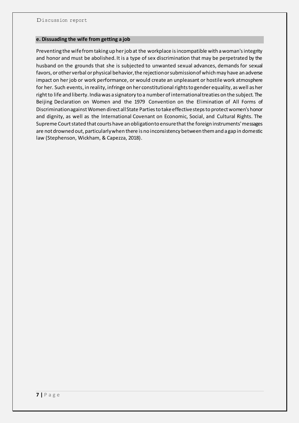### **e. Dissuading the wife from getting a job**

Preventing the wife from taking up her job at the workplace is incompatible with a woman's integrity and honor and must be abolished. It is a type of sex discrimination that may be perpetrated by the husband on the grounds that she is subjected to unwanted sexual advances, demands for sexual favors, or other verbal or physical behavior, the rejection or submission of which may have an adverse impact on her job or work performance, or would create an unpleasant or hostile work atmosphere for her. Such events, in reality, infringe on her constitutional rights to gender equality, as well as her right to life and liberty. India was a signatory to a number of international treaties on the subject. The Beijing Declaration on Women and the 1979 Convention on the Elimination of All Forms of Discrimination against Women direct all State Parties to take effective steps to protect women's honor and dignity, as well as the International Covenant on Economic, Social, and Cultural Rights. The Supreme Court stated that courts have an obligation to ensure that the foreign instruments' messages are not drowned out, particularly when there is no inconsistency between them and a gap in domestic law (Stephenson, Wickham, & Capezza, 2018).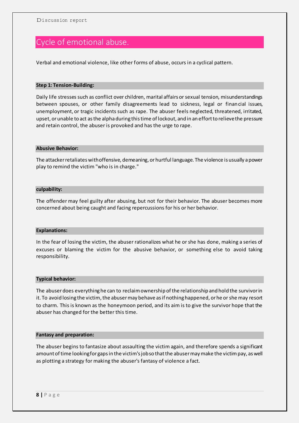# Cycle of emotional abuse.

Verbal and emotional violence, like other forms of abuse, occurs in a cyclical pattern.

### **Step 1: Tension-Building:**

Daily life stresses such as conflict over children, marital affairs or sexual tension, misunderstandings between spouses, or other family disagreements lead to sickness, legal or financial issues, unemployment, or tragic incidents such as rape. The abuser feels neglected, threatened, irritated, upset, or unable to act as the alpha during this time of lockout, and in an effort to relieve the pressure and retain control, the abuser is provoked and has the urge to rape.

#### **Abusive Behavior:**

The attacker retaliates with offensive, demeaning, or hurtful language. The violence is usually a power play to remind the victim "who is in charge."

### **culpability:**

The offender may feel guilty after abusing, but not for their behavior. The abuser becomes more concerned about being caught and facing repercussions for his or her behavior.

# **Explanations:**

In the fear of losing the victim, the abuser rationalizes what he or she has done, making a series of excuses or blaming the victim for the abusive behavior, or something else to avoid taking responsibility.

#### **Typical behavior:**

The abuser does everything he can to reclaim ownership of the relationship and hold the survivor in it. To avoid losing the victim, the abuser may behave as if nothing happened, or he or she may resort to charm. This is known as the honeymoon period, and its aim is to give the survivor hope that the abuser has changed for the better this time.

#### **Fantasy and preparation:**

The abuser begins to fantasize about assaulting the victim again, and therefore spends a significant amount of time looking for gaps in the victim's job so that the abuser may make the victim pay, as well as plotting a strategy for making the abuser's fantasy of violence a fact.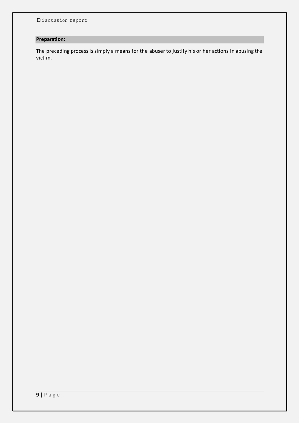# **Preparation:**

The preceding process is simply a means for the abuser to justify his or her actions in abusing the victim.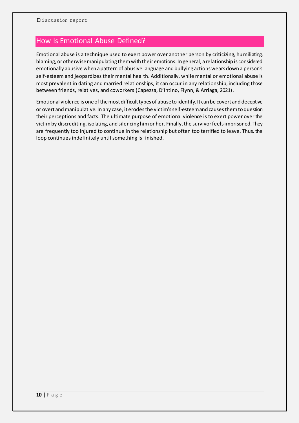# How Is Emotional Abuse Defined?

Emotional abuse is a technique used to exert power over another person by criticizing, humiliating, blaming, or otherwise manipulating them with their emotions. In general, a relationship is considered emotionally abusive when a pattern of abusive language and bullying actions wears down a person's self-esteem and jeopardizes their mental health. Additionally, while mental or emotional abuse is most prevalent in dating and married relationships, it can occur in any relationship, including those between friends, relatives, and coworkers (Capezza, D'Intino, Flynn, & Arriaga, 2021).

Emotional violence is one of the most difficult types of abuse to identify. It can be covert and deceptive or overt and manipulative. In any case, it erodes the victim's self-esteem and causes them to question their perceptions and facts. The ultimate purpose of emotional violence is to exert power over the victim by discrediting, isolating, and silencing him or her. Finally, the survivor feels imprisoned. They are frequently too injured to continue in the relationship but often too terrified to leave. Thus, the loop continues indefinitely until something is finished.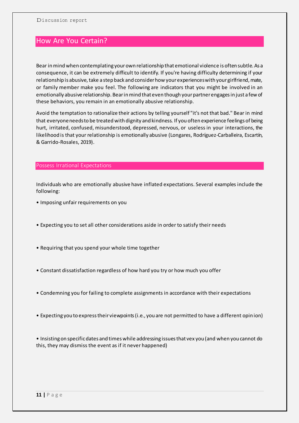# How Are You Certain?

Bear in mind when contemplating your own relationship that emotional violence is often subtle. As a consequence, it can be extremely difficult to identify. If you're having difficulty determining if your relationship is abusive, take a step back and consider how your experiences with your girlfriend, mate, or family member make you feel. The following are indicators that you might be involved in an emotionally abusive relationship. Bear in mind that even though your partner engages in just a few of these behaviors, you remain in an emotionally abusive relationship.

Avoid the temptation to rationalize their actions by telling yourself "it's not that bad." Bear in mind that everyone needs to be treated with dignity and kindness. If you often experience feelings of being hurt, irritated, confused, misunderstood, depressed, nervous, or useless in your interactions, the likelihood is that your relationship is emotionally abusive (Longares, Rodríguez-Carballeira, Escartín, & Garrido-Rosales, 2019).

# Possess Irrational Expectations

Individuals who are emotionally abusive have inflated expectations. Several examples include the following:

- Imposing unfair requirements on you
- Expecting you to set all other considerations aside in order to satisfy their needs
- Requiring that you spend your whole time together
- Constant dissatisfaction regardless of how hard you try or how much you offer
- Condemning you for failing to complete assignments in accordance with their expectations
- Expecting you to express their viewpoints (i.e., you are not permitted to have a different opinion)

• Insisting on specific dates and times while addressing issues that vex you (and when you cannot do this, they may dismiss the event as if it never happened)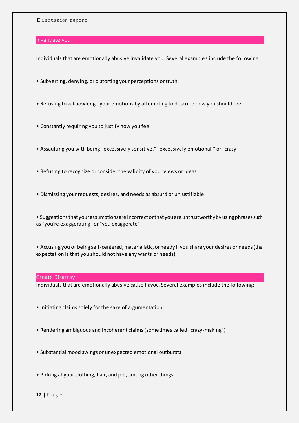### Invalidate you

Individuals that are emotionally abusive invalidate you. Several example s include the following:

- Subverting, denying, or distorting your perceptions or truth
- Refusing to acknowledge your emotions by attempting to describe how you should feel
- Constantly requiring you to justify how you feel
- Assaulting you with being "excessively sensitive," "excessively emotional," or "crazy"
- Refusing to recognize or consider the validity of your views or ideas
- Dismissing your requests, desires, and needs as absurd or unjustifiable

• Suggestions that your assumptions are incorrect or that you are untrustworthy by using phrases such as "you're exaggerating" or "you exaggerate"

• Accusing you of being self-centered, materialistic, or needy if you share your desires or needs (the expectation is that you should not have any wants or needs)

# Create Disarray

Individuals that are emotionally abusive cause havoc. Several examples include the following:

- Initiating claims solely for the sake of argumentation
- Rendering ambiguous and incoherent claims (sometimes called "crazy-making")
- Substantial mood swings or unexpected emotional outbursts
- Picking at your clothing, hair, and job, among other things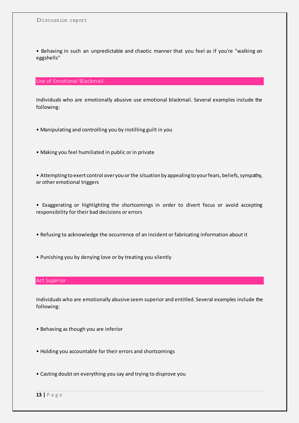• Behaving in such an unpredictable and chaotic manner that you feel as if you're "walking on eggshells"

# Use of Emotional Blackmail

Individuals who are emotionally abusive use emotional blackmail. Several examples include the following:

- Manipulating and controlling you by instilling guilt in you
- Making you feel humiliated in public or in private

• Attempting to exert control over you or the situation by appealing to your fears, beliefs, sympathy, or other emotional triggers

• Exaggerating or highlighting the shortcomings in order to divert focus or avoid accepting responsibility for their bad decisions or errors

- Refusing to acknowledge the occurrence of an incident or fabricating information about it
- Punishing you by denying love or by treating you silently

#### Act Superior

Individuals who are emotionally abusive seem superior and entitled. Several examples include the following:

- Behaving as though you are inferior
- Holding you accountable for their errors and shortcomings
- Casting doubt on everything you say and trying to disprove you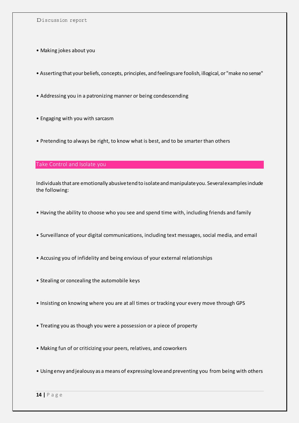- Making jokes about you
- Asserting that your beliefs, concepts, principles, and feelings are foolish, illogical, or "make no sense"
- Addressing you in a patronizing manner or being condescending
- Engaging with you with sarcasm
- Pretending to always be right, to know what is best, and to be smarter than others

# Take Control and Isolate you

Individuals that are emotionally abusive tend to isolate and manipulate you. Several examples include the following:

- Having the ability to choose who you see and spend time with, including friends and family
- Surveillance of your digital communications, including text messages, social media, and email
- Accusing you of infidelity and being envious of your external relationships
- Stealing or concealing the automobile keys
- Insisting on knowing where you are at all times or tracking your every move through GPS
- Treating you as though you were a possession or a piece of property
- Making fun of or criticizing your peers, relatives, and coworkers
- Using envy and jealousy as a means of expressing love and preventing you from being with others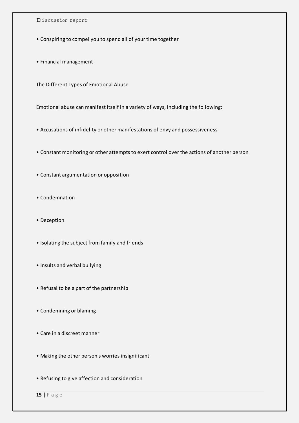- Conspiring to compel you to spend all of your time together
- Financial management

The Different Types of Emotional Abuse

Emotional abuse can manifest itself in a variety of ways, including the following:

- Accusations of infidelity or other manifestations of envy and possessiveness
- Constant monitoring or other attempts to exert control over the actions of another person
- Constant argumentation or opposition
- Condemnation
- Deception
- Isolating the subject from family and friends
- Insults and verbal bullying
- Refusal to be a part of the partnership
- Condemning or blaming
- Care in a discreet manner
- Making the other person's worries insignificant
- Refusing to give affection and consideration

**15 |** P a g e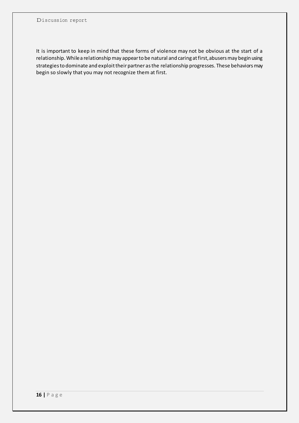It is important to keep in mind that these forms of violence may not be obvious at the start of a relationship. While a relationship may appear to be natural and caring at first, abusers may begin using strategies to dominate and exploit their partner as the relationship progresses. These behaviors may begin so slowly that you may not recognize them at first.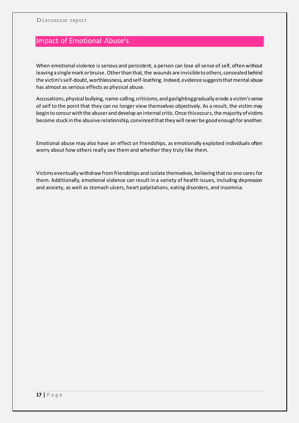# Impact of Emotional Abuse's

When emotional violence is serious and persistent, a person can lose all sense of self, often without leaving a single mark or bruise. Other than that, the wounds are invisible to others, concealed behind the victim's self-doubt, worthlessness, and self-loathing. Indeed, evidence suggests that mental abuse has almost as serious effects as physical abuse.

Accusations, physical bullying, name-calling, criticisms, and gaslighting gradually erode a victim's sense of self to the point that they can no longer view themselves objectively. As a result, the victim may begin to concur with the abuser and develop an internal critic. Once this occurs, the majority of victims become stuck in the abusive relationship, convinced that they will never be good enough for another.

Emotional abuse may also have an effect on friendships, as emotionally exploited individuals often worry about how others really see them and whether they truly like them.

Victims eventually withdraw from friendships and isolate themselves, believing that no one cares for them. Additionally, emotional violence can result in a variety of health issues, including depression and anxiety, as well as stomach ulcers, heart palpitations, eating disorders, and insomnia.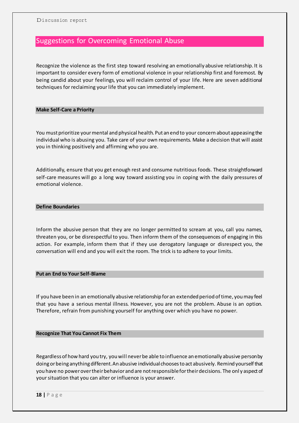# Suggestions for Overcoming Emotional Abuse

Recognize the violence as the first step toward resolving an emotionally abusive relationship. It is important to consider every form of emotional violence in your relationship first and foremost. By being candid about your feelings, you will reclaim control of your life. Here are seven additional techniques for reclaiming your life that you can immediately implement.

### **Make Self-Care a Priority**

You must prioritize your mental and physical health. Put an end to your concern about appeasing the individual who is abusing you. Take care of your own requirements. Make a decision that will assist you in thinking positively and affirming who you are.

Additionally, ensure that you get enough rest and consume nutritious foods. These straightforward self-care measures will go a long way toward assisting you in coping with the daily pressures of emotional violence.

### **Define Boundaries**

Inform the abusive person that they are no longer permitted to scream at you, call you names, threaten you, or be disrespectful to you. Then inform them of the consequences of engaging in this action. For example, inform them that if they use derogatory language or disrespect you, the conversation will end and you will exit the room. The trick is to adhere to your limits.

# **Put an End to Your Self-Blame**

If you have been in an emotionally abusive relationship for an extended period of time, you may feel that you have a serious mental illness. However, you are not the problem. Abuse is an option. Therefore, refrain from punishing yourself for anything over which you have no power.

### **Recognize That You Cannot Fix Them**

Regardless of how hard you try, you will never be able to influence an emotionally abusive person by doing or being anything different. An abusive individual chooses to act abusively. Remind yourself that you have no power over their behavior and are not responsible for their decisions. The onl y aspect of your situation that you can alter or influence is your answer.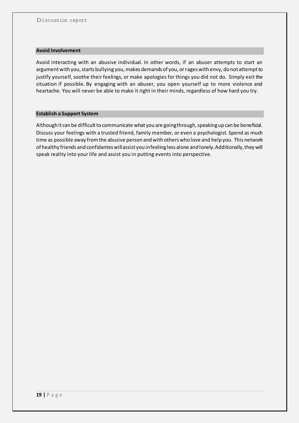### **Avoid Involvement**

Avoid interacting with an abusive individual. In other words, if an abuser attempts to start an argument with you, starts bullying you, makes demands of you, or rages with envy, do not attempt to justify yourself, soothe their feelings, or make apologies for things you did not do. Simply exit the situation if possible. By engaging with an abuser, you open yourself up to more violence and heartache. You will never be able to make it right in their minds, regardless of how hard you try.

# **Establish a Support System**

Although it can be difficult to communicate what you are going through, speaking up can be beneficial. Discuss your feelings with a trusted friend, family member, or even a psychologist. Spend as much time as possible away from the abusive person and with others who love and help you. This network of healthy friends and confidantes will assist you in feeling less alone and lonely. Additionally, they will speak reality into your life and assist you in putting events into perspective.